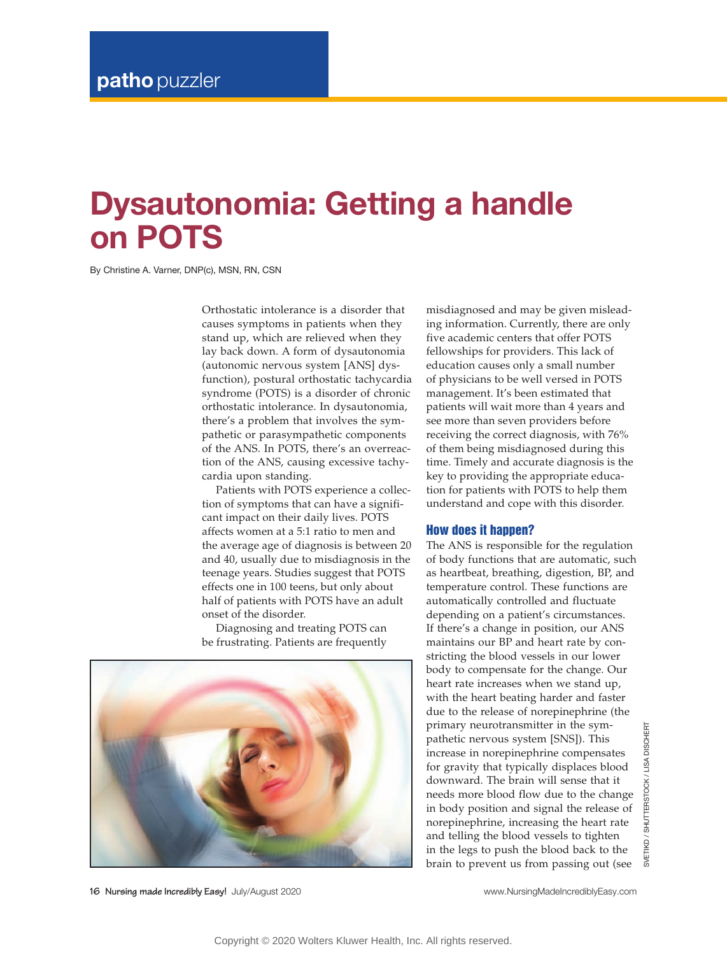# **Dysautonomia: Getting a handle on POTS**

By Christine A. Varner, DNP(c), MSN, RN, CSN

Orthostatic intolerance is a disorder that causes symptoms in patients when they stand up, which are relieved when they lay back down. A form of dysautonomia ( autonomic nervous system [ANS] dysfunction), postural orthostatic tachycardia syndrome (POTS) is a disorder of chronic orthostatic intolerance. In dysautonomia, there's a problem that involves the sympathetic or parasympathetic components of the ANS. In POTS, there's an overreaction of the ANS, causing excessive tachycardia upon standing.

Patients with POTS experience a collection of symptoms that can have a significant impact on their daily lives. POTS affects women at a 5:1 ratio to men and the average age of diagnosis is between 20 and 40, usually due to misdiagnosis in the teenage years. Studies suggest that POTS effects one in 100 teens, but only about half of patients with POTS have an adult onset of the disorder.

Diagnosing and treating POTS can be frustrating. Patients are frequently



**16 Nursing made Incredibly Easy!** July/August 2020 www.NursingMadeIncrediblyEasy.com

misdiagnosed and may be given misleading information. Currently, there are only five academic centers that offer POTS fellowships for providers. This lack of education causes only a small number of physicians to be well versed in POTS management. It's been estimated that patients will wait more than 4 years and see more than seven providers before receiving the correct diagnosis, with 76% of them being misdiagnosed during this time. Timely and accurate diagnosis is the key to providing the appropriate education for patients with POTS to help them understand and cope with this disorder.

## How does it happen?

The ANS is responsible for the regulation of body functions that are automatic, such as heartbeat, breathing, digestion, BP, and temperature control. These functions are automatically controlled and fluctuate depending on a patient's circumstances. If there's a change in position, our ANS maintains our BP and heart rate by constricting the blood vessels in our lower body to compensate for the change. Our heart rate increases when we stand up, with the heart beating harder and faster due to the release of norepinephrine (the primary neurotransmitter in the sympathetic nervous system [SNS]). This increase in norepinephrine compensates for gravity that typically displaces blood downward. The brain will sense that it needs more blood flow due to the change in body position and signal the release of norepinephrine, increasing the heart rate and telling the blood vessels to tighten in the legs to push the blood back to the brain to prevent us from passing out (see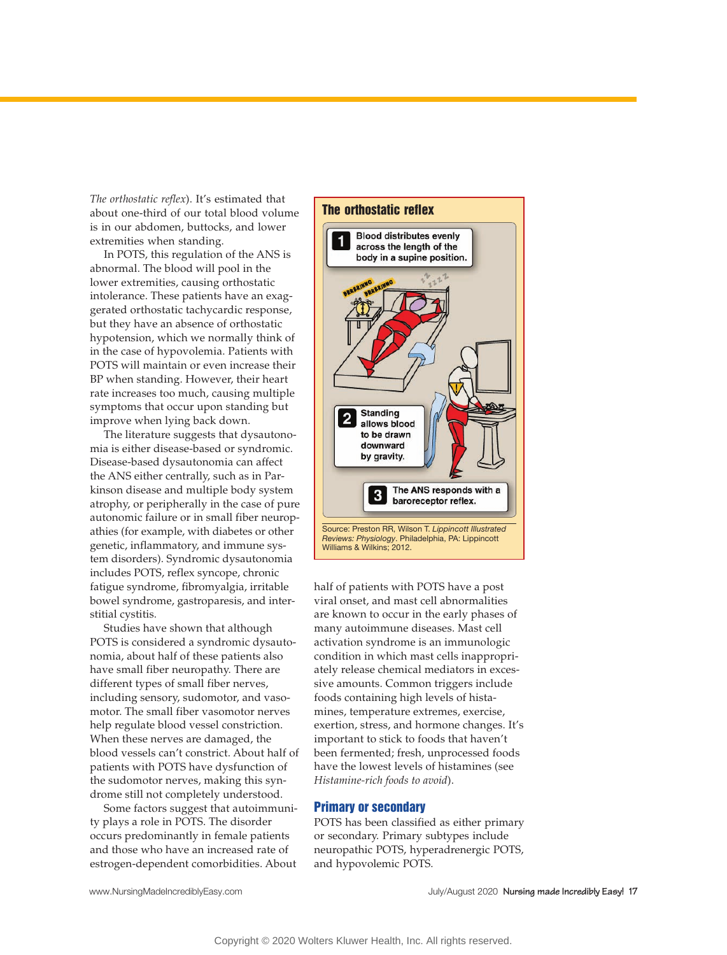*The orthostatic reflex*). It's estimated that about one-third of our total blood volume is in our abdomen, buttocks, and lower extremities when standing.

In POTS, this regulation of the ANS is abnormal. The blood will pool in the lower extremities, causing orthostatic intolerance. These patients have an exaggerated orthostatic tachycardic response, but they have an absence of orthostatic hypotension, which we normally think of in the case of hypovolemia. Patients with POTS will maintain or even increase their BP when standing. However, their heart rate increases too much, causing multiple symptoms that occur upon standing but improve when lying back down.

The literature suggests that dysautonomia is either disease-based or syndromic. Disease-based dysautonomia can affect the ANS either centrally, such as in Parkinson disease and multiple body system atrophy, or peripherally in the case of pure autonomic failure or in small fiber neuropathies (for example, with diabetes or other genetic, inflammatory, and immune system disorders). Syndromic dysautonomia includes POTS, reflex syncope, chronic fatigue syndrome, fibromyalgia, irritable bowel syndrome, gastroparesis, and interstitial cystitis.

Studies have shown that although POTS is considered a syndromic dysautonomia, about half of these patients also have small fiber neuropathy. There are different types of small fiber nerves, including sensory, sudomotor, and vasomotor. The small fiber vasomotor nerves help regulate blood vessel constriction. When these nerves are damaged, the blood vessels can't constrict. About half of patients with POTS have dysfunction of the sudomotor nerves, making this syndrome still not completely understood.

Some factors suggest that autoimmunity plays a role in POTS. The disorder occurs predominantly in female patients and those who have an increased rate of estrogen-dependent comorbidities. About



half of patients with POTS have a post viral onset, and mast cell abnormalities are known to occur in the early phases of many autoimmune diseases. Mast cell activation syndrome is an immunologic condition in which mast cells inappropriately release chemical mediators in excessive amounts. Common triggers include foods containing high levels of histamines, temperature extremes, exercise, exertion, stress, and hormone changes. It's important to stick to foods that haven't been fermented; fresh, unprocessed foods have the lowest levels of histamines (see *Histamine-rich foods to avoid*).

#### Primary or secondary

POTS has been classified as either primary or secondary. Primary subtypes include neuropathic POTS, hyperadrenergic POTS, and hypovolemic POTS.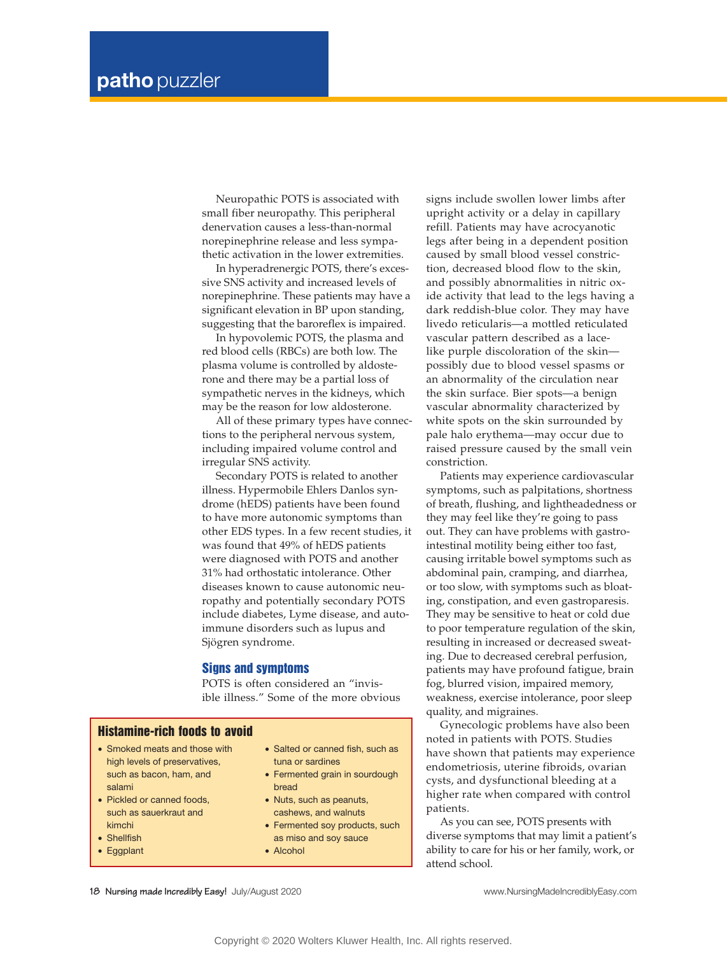Neuropathic POTS is associated with small fiber neuropathy. This peripheral denervation causes a less-than-normal norepinephrine release and less sympathetic activation in the lower extremities.

In hyperadrenergic POTS, there's excessive SNS activity and increased levels of norepinephrine. These patients may have a significant elevation in BP upon standing, suggesting that the baroreflex is impaired.

In hypovolemic POTS, the plasma and red blood cells (RBCs) are both low. The plasma volume is controlled by aldosterone and there may be a partial loss of sympathetic nerves in the kidneys, which may be the reason for low aldosterone.

All of these primary types have connections to the peripheral nervous system, including impaired volume control and irregular SNS activity.

Secondary POTS is related to another illness. Hypermobile Ehlers Danlos syndrome (hEDS) patients have been found to have more autonomic symptoms than other EDS types. In a few recent studies, it was found that 49% of hEDS patients were diagnosed with POTS and another 31% had orthostatic intolerance. Other diseases known to cause autonomic neuropathy and potentially secondary POTS include diabetes, Lyme disease, and autoimmune disorders such as lupus and Sjögren syndrome.

## Signs and symptoms

POTS is often considered an "invisible illness." Some of the more obvious

## Histamine-rich foods to avoid

- Smoked meats and those with high levels of preservatives. such as bacon, ham, and salami
- Pickled or canned foods, such as sauerkraut and kimchi
- Shellfish
- Eggplant
- Salted or canned fish, such as tuna or sardines
- Fermented grain in sourdough bread
- Nuts, such as peanuts, cashews, and walnuts
- Fermented soy products, such as miso and soy sauce
- Alcohol

signs include swollen lower limbs after upright activity or a delay in capillary refill. Patients may have acrocyanotic legs after being in a dependent position caused by small blood vessel constriction, decreased blood flow to the skin, and possibly abnormalities in nitric oxide activity that lead to the legs having a dark reddish-blue color. They may have livedo reticularis—a mottled reticulated vascular pattern described as a lacelike purple discoloration of the skin possibly due to blood vessel spasms or an abnormality of the circulation near the skin surface. Bier spots—a benign vascular abnormality characterized by white spots on the skin surrounded by pale halo erythema—may occur due to raised pressure caused by the small vein constriction.

Patients may experience cardiovascular symptoms, such as palpitations, shortness of breath, flushing, and lightheadedness or they may feel like they're going to pass out. They can have problems with gastrointestinal motility being either too fast, causing irritable bowel symptoms such as abdominal pain, cramping, and diarrhea, or too slow, with symptoms such as bloating, constipation, and even gastroparesis. They may be sensitive to heat or cold due to poor temperature regulation of the skin, resulting in increased or decreased sweating. Due to decreased cerebral perfusion, patients may have profound fatigue, brain fog, blurred vision, impaired memory, weakness, exercise intolerance, poor sleep quality, and migraines.

Gynecologic problems have also been noted in patients with POTS. Studies have shown that patients may experience endometriosis, uterine fibroids, ovarian cysts, and dysfunctional bleeding at a higher rate when compared with control patients.

As you can see, POTS presents with diverse symptoms that may limit a patient's ability to care for his or her family, work, or attend school.

**18 Nursing made Incredibly Easy!** July/August 2020 www.NursingMadeIncrediblyEasy.com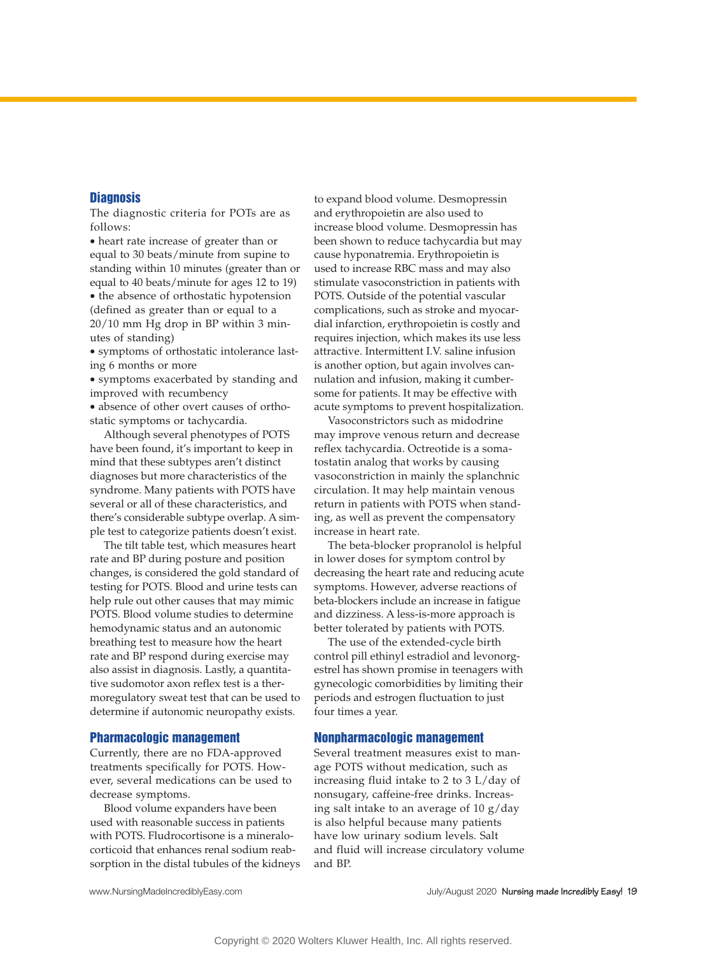# **Diagnosis**

The diagnostic criteria for POTs are as follows:

• heart rate increase of greater than or equal to 30 beats/minute from supine to standing within 10 minutes (greater than or equal to 40 beats/minute for ages 12 to 19) • the absence of orthostatic hypotension (defined as greater than or equal to a 20/10 mm Hg drop in BP within 3 min-

utes of standing) • symptoms of orthostatic intolerance last-

ing 6 months or more • symptoms exacerbated by standing and improved with recumbency

• absence of other overt causes of orthostatic symptoms or tachycardia.

Although several phenotypes of POTS have been found, it's important to keep in mind that these subtypes aren't distinct diagnoses but more characteristics of the syndrome. Many patients with POTS have several or all of these characteristics, and there's considerable subtype overlap. A simple test to categorize patients doesn't exist.

The tilt table test, which measures heart rate and BP during posture and position changes, is considered the gold standard of testing for POTS. Blood and urine tests can help rule out other causes that may mimic POTS. Blood volume studies to determine hemodynamic status and an autonomic breathing test to measure how the heart rate and BP respond during exercise may also assist in diagnosis. Lastly, a quantitative sudomotor axon reflex test is a thermoregulatory sweat test that can be used to determine if autonomic neuropathy exists.

#### Pharmacologic management

Currently, there are no FDA-approved treatments specifically for POTS. However, several medications can be used to decrease symptoms.

Blood volume expanders have been used with reasonable success in patients with POTS. Fludrocortisone is a mineralocorticoid that enhances renal sodium reabsorption in the distal tubules of the kidneys

to expand blood volume. Desmopressin and erythropoietin are also used to increase blood volume. Desmopressin has been shown to reduce tachycardia but may cause hyponatremia. Erythropoietin is used to increase RBC mass and may also stimulate vasoconstriction in patients with POTS. Outside of the potential vascular complications, such as stroke and myocardial infarction, erythropoietin is costly and requires injection, which makes its use less attractive. Intermittent I.V. saline infusion is another option, but again involves cannulation and infusion, making it cumbersome for patients. It may be effective with acute symptoms to prevent hospitalization.

Vasoconstrictors such as midodrine may improve venous return and decrease reflex tachycardia. Octreotide is a somatostatin analog that works by causing vasoconstriction in mainly the splanchnic circulation. It may help maintain venous return in patients with POTS when standing, as well as prevent the compensatory increase in heart rate.

The beta-blocker propranolol is helpful in lower doses for symptom control by decreasing the heart rate and reducing acute symptoms. However, adverse reactions of beta-blockers include an increase in fatigue and dizziness. A less-is-more approach is better tolerated by patients with POTS.

The use of the extended-cycle birth control pill ethinyl estradiol and levonorgestrel has shown promise in teenagers with gynecologic comorbidities by limiting their periods and estrogen fluctuation to just four times a year.

### Nonpharmacologic management

Several treatment measures exist to manage POTS without medication, such as increasing fluid intake to 2 to 3 L/day of nonsugary, caffeine-free drinks. Increasing salt intake to an average of 10 g/day is also helpful because many patients have low urinary sodium levels. Salt and fluid will increase circulatory volume and BP.